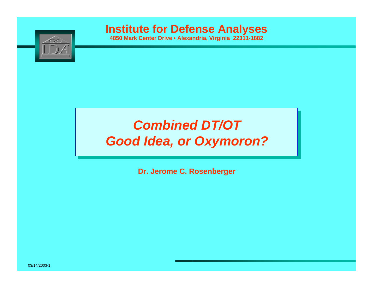

**4850 Mark Center Drive • Alexandria, Virginia 22311-1882**

## *Combined DT/OT Good Idea, or Oxymoron?*

**Dr. Jerome C. Rosenberger**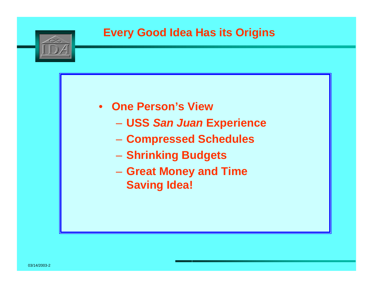

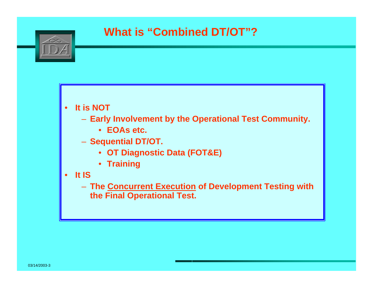

#### • **It is NOT**

- **Early Involvement by the Operational Test Community.**
	- **EOAs etc.**
- **Sequential DT/OT.**
	- **OT Diagnostic Data (FOT&E)**
	- **Training**
- **It IS**
	- **The Concurrent Execution of Development Testing with the Final Operational Test.**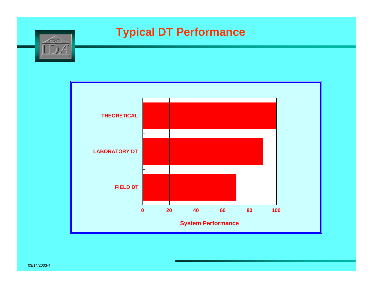

### **Typical DT Performance**

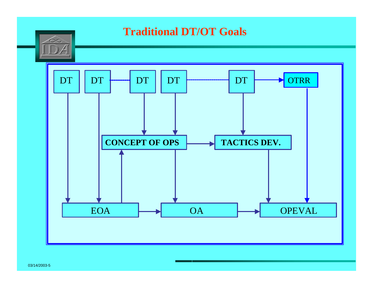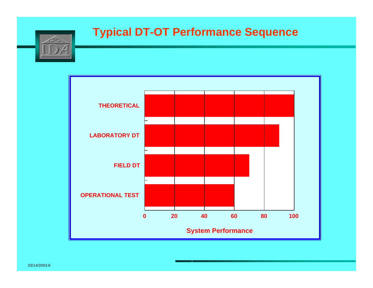#### **Typical DT-OT Performance Sequence**



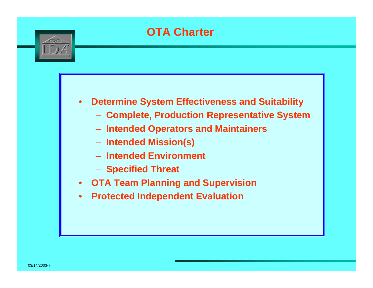### **OTA Charter**



#### • **Determine System Effectiveness and Suitability**

- **Complete, Production Representative System**
- **Intended Operators and Maintainers**
- **Intended Mission(s)**
- **Intended Environment**
- **Specified Threat**
- **OTA Team Planning and Supervision**
- **Protected Independent Evaluation**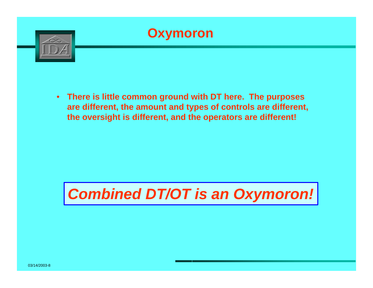

• **There is little common ground with DT here. The purposes are different, the amount and types of controls are different, the oversight is different, and the operators are different!**

# *Combined DT/OT is an Oxymoron!*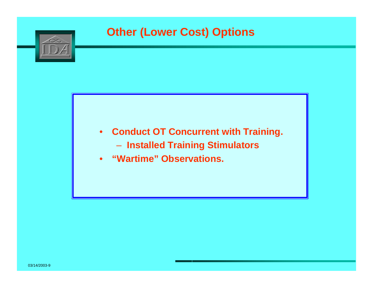### **Other (Lower Cost) Options**